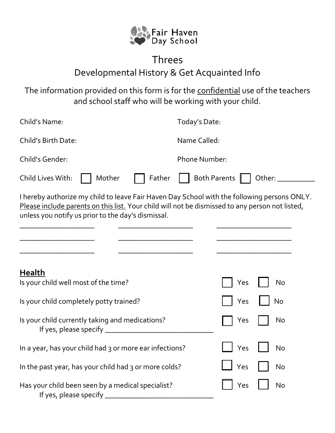

## Threes Developmental History & Get Acquainted Info

The information provided on this form is for the confidential use of the teachers and school staff who will be working with your child.

| Child's Name:                                                                                                                                                                                                                                        | Today's Date:                 |  |
|------------------------------------------------------------------------------------------------------------------------------------------------------------------------------------------------------------------------------------------------------|-------------------------------|--|
| Child's Birth Date:                                                                                                                                                                                                                                  | Name Called:                  |  |
| Child's Gender:                                                                                                                                                                                                                                      | <b>Phone Number:</b>          |  |
| Child Lives With:<br>Mother<br>Father                                                                                                                                                                                                                | <b>Both Parents</b><br>Other: |  |
| I hereby authorize my child to leave Fair Haven Day School with the following persons ONLY.<br>Please include parents on this list. Your child will not be dismissed to any person not listed,<br>unless you notify us prior to the day's dismissal. |                               |  |
| <b>Health</b><br>Is your child well most of the time?                                                                                                                                                                                                | Yes<br>No                     |  |
| Is your child completely potty trained?                                                                                                                                                                                                              | No<br>Yes                     |  |
| Is your child currently taking and medications?                                                                                                                                                                                                      | No<br>Yes                     |  |
| In a year, has your child had 3 or more ear infections?                                                                                                                                                                                              | Yes<br><b>No</b>              |  |
| In the past year, has your child had 3 or more colds?                                                                                                                                                                                                | Yes<br>No                     |  |
| Has your child been seen by a medical specialist?<br>If yes, please specify _                                                                                                                                                                        | <b>No</b><br>Yes              |  |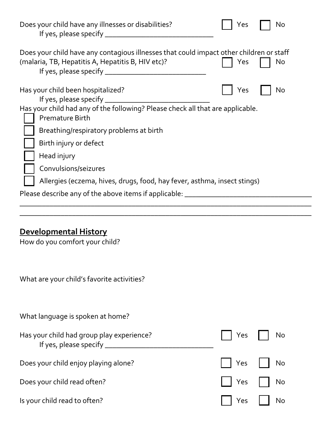| Does your child have any illnesses or disabilities?                                                                                          | Yes | No |
|----------------------------------------------------------------------------------------------------------------------------------------------|-----|----|
| Does your child have any contagious illnesses that could impact other children or staff<br>(malaria, TB, Hepatitis A, Hepatitis B, HIV etc)? | Yes | No |
| Has your child been hospitalized?                                                                                                            | Yes | No |
| Has your child had any of the following? Please check all that are applicable.<br><b>Premature Birth</b>                                     |     |    |
| Breathing/respiratory problems at birth                                                                                                      |     |    |
| Birth injury or defect                                                                                                                       |     |    |
| Head injury                                                                                                                                  |     |    |
| Convulsions/seizures                                                                                                                         |     |    |
| Allergies (eczema, hives, drugs, food, hay fever, asthma, insect stings)                                                                     |     |    |
| Please describe any of the above items if applicable: __________________________                                                             |     |    |
|                                                                                                                                              |     |    |
|                                                                                                                                              |     |    |

## **Developmental History**

How do you comfort your child?

What are your child's favorite activities?

| What language is spoken at home?                                                |                          |              |
|---------------------------------------------------------------------------------|--------------------------|--------------|
| Has your child had group play experience?<br>If yes, please specify ___________ | No Ves No                |              |
| Does your child enjoy playing alone?                                            | Yes     No               |              |
| Does your child read often?                                                     | $\vert$   Yes $\vert$ No |              |
| Is your child read to often?                                                    | $ $   Yes                | $\vert$   No |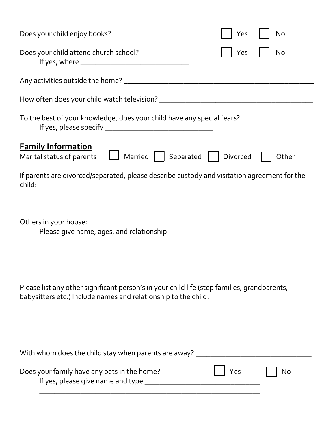| Does your child enjoy books?                                                                                                                                  | Yes<br>No |  |  |  |
|---------------------------------------------------------------------------------------------------------------------------------------------------------------|-----------|--|--|--|
| Does your child attend church school?                                                                                                                         | No<br>Yes |  |  |  |
|                                                                                                                                                               |           |  |  |  |
|                                                                                                                                                               |           |  |  |  |
| To the best of your knowledge, does your child have any special fears?                                                                                        |           |  |  |  |
| <b>Family Information</b><br>  Married   Separated   Divorced<br>Marital status of parents                                                                    | Other     |  |  |  |
| If parents are divorced/separated, please describe custody and visitation agreement for the<br>child:                                                         |           |  |  |  |
| Others in your house:<br>Please give name, ages, and relationship                                                                                             |           |  |  |  |
| Please list any other significant person's in your child life (step families, grandparents,<br>babysitters etc.) Include names and relationship to the child. |           |  |  |  |
| With whom does the child stay when parents are away? ___________________________                                                                              |           |  |  |  |
| Does your family have any pets in the home?                                                                                                                   | Yes<br>No |  |  |  |
|                                                                                                                                                               |           |  |  |  |